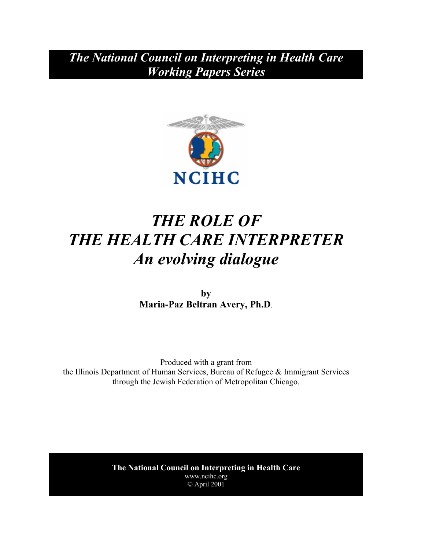*The National Council on Interpreting in Health Care Working Papers Series* 



# *THE ROLE OF THE HEALTH CARE INTERPRETER An evolving dialogue*

**by Maria-Paz Beltran Avery, Ph.D**.

Produced with a grant from the Illinois Department of Human Services, Bureau of Refugee & Immigrant Services through the Jewish Federation of Metropolitan Chicago.

> **The National Council on Interpreting in Health Care**  www.ncihc.org © April 2001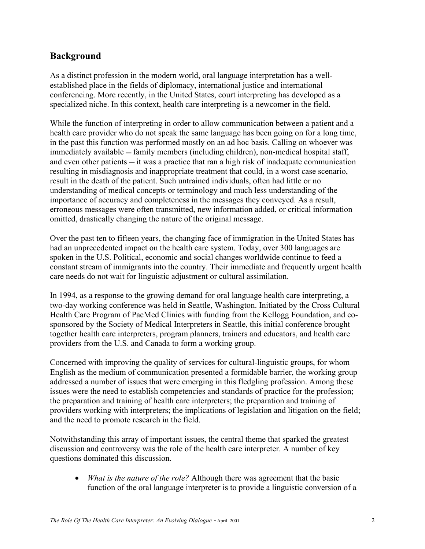### **Background**

As a distinct profession in the modern world, oral language interpretation has a wellestablished place in the fields of diplomacy, international justice and international conferencing. More recently, in the United States, court interpreting has developed as a specialized niche. In this context, health care interpreting is a newcomer in the field.

While the function of interpreting in order to allow communication between a patient and a health care provider who do not speak the same language has been going on for a long time, in the past this function was performed mostly on an ad hoc basis. Calling on whoever was immediately available – family members (including children), non-medical hospital staff, and even other patients  $\overline{-}$  it was a practice that ran a high risk of inadequate communication resulting in misdiagnosis and inappropriate treatment that could, in a worst case scenario, result in the death of the patient. Such untrained individuals, often had little or no understanding of medical concepts or terminology and much less understanding of the importance of accuracy and completeness in the messages they conveyed. As a result, erroneous messages were often transmitted, new information added, or critical information omitted, drastically changing the nature of the original message.

Over the past ten to fifteen years, the changing face of immigration in the United States has had an unprecedented impact on the health care system. Today, over 300 languages are spoken in the U.S. Political, economic and social changes worldwide continue to feed a constant stream of immigrants into the country. Their immediate and frequently urgent health care needs do not wait for linguistic adjustment or cultural assimilation.

In 1994, as a response to the growing demand for oral language health care interpreting, a two-day working conference was held in Seattle, Washington. Initiated by the Cross Cultural Health Care Program of PacMed Clinics with funding from the Kellogg Foundation, and cosponsored by the Society of Medical Interpreters in Seattle, this initial conference brought together health care interpreters, program planners, trainers and educators, and health care providers from the U.S. and Canada to form a working group.

Concerned with improving the quality of services for cultural-linguistic groups, for whom English as the medium of communication presented a formidable barrier, the working group addressed a number of issues that were emerging in this fledgling profession. Among these issues were the need to establish competencies and standards of practice for the profession; the preparation and training of health care interpreters; the preparation and training of providers working with interpreters; the implications of legislation and litigation on the field; and the need to promote research in the field.

Notwithstanding this array of important issues, the central theme that sparked the greatest discussion and controversy was the role of the health care interpreter. A number of key questions dominated this discussion.

• *What is the nature of the role?* Although there was agreement that the basic function of the oral language interpreter is to provide a linguistic conversion of a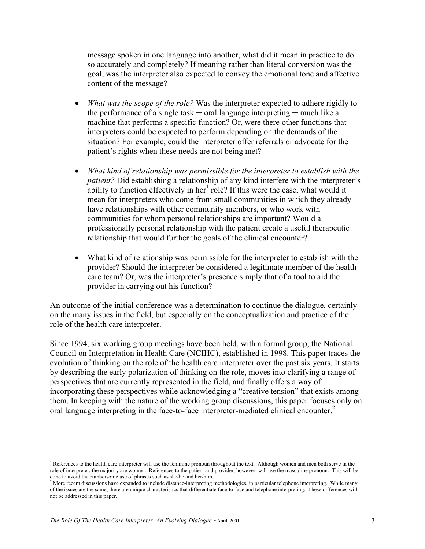message spoken in one language into another, what did it mean in practice to do so accurately and completely? If meaning rather than literal conversion was the goal, was the interpreter also expected to convey the emotional tone and affective content of the message?

- *What was the scope of the role?* Was the interpreter expected to adhere rigidly to the performance of a single task  $-$  oral language interpreting  $-$  much like a machine that performs a specific function? Or, were there other functions that interpreters could be expected to perform depending on the demands of the situation? For example, could the interpreter offer referrals or advocate for the patient's rights when these needs are not being met?
- *What kind of relationship was permissible for the interpreter to establish with the patient?* Did establishing a relationship of any kind interfere with the interpreter's ability to function effectively in her $<sup>1</sup>$  role? If this were the case, what would it</sup> mean for interpreters who come from small communities in which they already have relationships with other community members, or who work with communities for whom personal relationships are important? Would a professionally personal relationship with the patient create a useful therapeutic relationship that would further the goals of the clinical encounter?
- What kind of relationship was permissible for the interpreter to establish with the provider? Should the interpreter be considered a legitimate member of the health care team? Or, was the interpreter's presence simply that of a tool to aid the provider in carrying out his function?

An outcome of the initial conference was a determination to continue the dialogue, certainly on the many issues in the field, but especially on the conceptualization and practice of the role of the health care interpreter.

Since 1994, six working group meetings have been held, with a formal group, the National Council on Interpretation in Health Care (NCIHC), established in 1998. This paper traces the evolution of thinking on the role of the health care interpreter over the past six years. It starts by describing the early polarization of thinking on the role, moves into clarifying a range of perspectives that are currently represented in the field, and finally offers a way of incorporating these perspectives while acknowledging a "creative tension" that exists among them. In keeping with the nature of the working group discussions, this paper focuses only on oral language interpreting in the face-to-face interpreter-mediated clinical encounter.<sup>2</sup>

<sup>&</sup>lt;sup>1</sup> References to the health care interpreter will use the feminine pronoun throughout the text. Although women and men both serve in the role of interpreter, the majority are women. References to the patient and provider, however, will use the masculine pronoun. This will be done to avoid the cumbersome use of phrases such as she/he and her/him.<br><sup>2</sup> More recent discussions have expanded to include distance-interpreting methodologies, in particular telephone interpreting. While many

of the issues are the same, there are unique characteristics that differentiate face-to-face and telephone interpreting. These differences will not be addressed in this paper.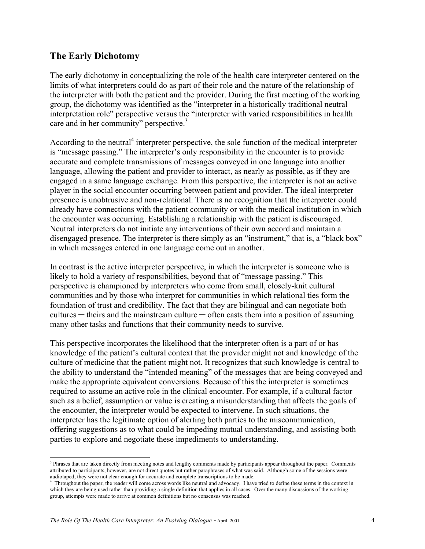#### **The Early Dichotomy**

The early dichotomy in conceptualizing the role of the health care interpreter centered on the limits of what interpreters could do as part of their role and the nature of the relationship of the interpreter with both the patient and the provider. During the first meeting of the working group, the dichotomy was identified as the "interpreter in a historically traditional neutral interpretation role" perspective versus the "interpreter with varied responsibilities in health care and in her community" perspective.<sup>3</sup>

According to the neutral<sup>4</sup> interpreter perspective, the sole function of the medical interpreter is "message passing." The interpreter's only responsibility in the encounter is to provide accurate and complete transmissions of messages conveyed in one language into another language, allowing the patient and provider to interact, as nearly as possible, as if they are engaged in a same language exchange. From this perspective, the interpreter is not an active player in the social encounter occurring between patient and provider. The ideal interpreter presence is unobtrusive and non-relational. There is no recognition that the interpreter could already have connections with the patient community or with the medical institution in which the encounter was occurring. Establishing a relationship with the patient is discouraged. Neutral interpreters do not initiate any interventions of their own accord and maintain a disengaged presence. The interpreter is there simply as an "instrument," that is, a "black box" in which messages entered in one language come out in another.

In contrast is the active interpreter perspective, in which the interpreter is someone who is likely to hold a variety of responsibilities, beyond that of "message passing." This perspective is championed by interpreters who come from small, closely-knit cultural communities and by those who interpret for communities in which relational ties form the foundation of trust and credibility. The fact that they are bilingual and can negotiate both  $cutures$   $-$  theirs and the mainstream culture  $-$  often casts them into a position of assuming many other tasks and functions that their community needs to survive.

This perspective incorporates the likelihood that the interpreter often is a part of or has knowledge of the patient's cultural context that the provider might not and knowledge of the culture of medicine that the patient might not. It recognizes that such knowledge is central to the ability to understand the "intended meaning" of the messages that are being conveyed and make the appropriate equivalent conversions. Because of this the interpreter is sometimes required to assume an active role in the clinical encounter. For example, if a cultural factor such as a belief, assumption or value is creating a misunderstanding that affects the goals of the encounter, the interpreter would be expected to intervene. In such situations, the interpreter has the legitimate option of alerting both parties to the miscommunication, offering suggestions as to what could be impeding mutual understanding, and assisting both parties to explore and negotiate these impediments to understanding.

<sup>&</sup>lt;sup>3</sup> Phrases that are taken directly from meeting notes and lengthy comments made by participants appear throughout the paper. Comments attributed to participants, however, are not direct quotes but rather paraphrases of what was said. Although some of the sessions were audiotaped, they were not clear enough for accurate and complete transcriptions to be made.<br><sup>4</sup> Throughout the accurate and complete transcriptions to be made.

Throughout the paper, the reader will come across words like neutral and advocacy. I have tried to define these terms in the context in which they are being used rather than providing a single definition that applies in all cases. Over the many discussions of the working group, attempts were made to arrive at common definitions but no consensus was reached.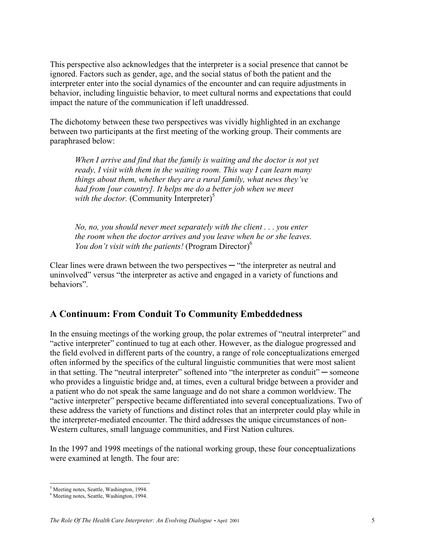This perspective also acknowledges that the interpreter is a social presence that cannot be ignored. Factors such as gender, age, and the social status of both the patient and the interpreter enter into the social dynamics of the encounter and can require adjustments in behavior, including linguistic behavior, to meet cultural norms and expectations that could impact the nature of the communication if left unaddressed.

The dichotomy between these two perspectives was vividly highlighted in an exchange between two participants at the first meeting of the working group. Their comments are paraphrased below:

*When I arrive and find that the family is waiting and the doctor is not yet ready, I visit with them in the waiting room. This way I can learn many things about them, whether they are a rural family, what news they've had from [our country]. It helps me do a better job when we meet with the doctor.* (Community Interpreter)<sup>5</sup>

*No, no, you should never meet separately with the client . . . you enter the room when the doctor arrives and you leave when he or she leaves. You don't visit with the patients!* (Program Director)<sup>6</sup>

Clear lines were drawn between the two perspectives ─ "the interpreter as neutral and uninvolved" versus "the interpreter as active and engaged in a variety of functions and behaviors".

## **A Continuum: From Conduit To Community Embeddedness**

In the ensuing meetings of the working group, the polar extremes of "neutral interpreter" and "active interpreter" continued to tug at each other. However, as the dialogue progressed and the field evolved in different parts of the country, a range of role conceptualizations emerged often informed by the specifics of the cultural linguistic communities that were most salient in that setting. The "neutral interpreter" softened into "the interpreter as conduit" — someone who provides a linguistic bridge and, at times, even a cultural bridge between a provider and a patient who do not speak the same language and do not share a common worldview. The "active interpreter" perspective became differentiated into several conceptualizations. Two of these address the variety of functions and distinct roles that an interpreter could play while in the interpreter-mediated encounter. The third addresses the unique circumstances of non-Western cultures, small language communities, and First Nation cultures.

In the 1997 and 1998 meetings of the national working group, these four conceptualizations were examined at length. The four are:

 $\overline{a}$ 5 Meeting notes, Seattle, Washington, 1994.

<sup>6</sup> Meeting notes, Seattle, Washington, 1994.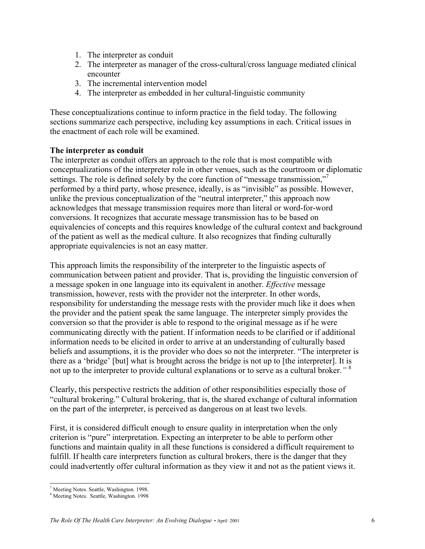- 1. The interpreter as conduit
- 2. The interpreter as manager of the cross-cultural/cross language mediated clinical encounter
- 3. The incremental intervention model
- 4. The interpreter as embedded in her cultural-linguistic community

These conceptualizations continue to inform practice in the field today. The following sections summarize each perspective, including key assumptions in each. Critical issues in the enactment of each role will be examined.

#### **The interpreter as conduit**

The interpreter as conduit offers an approach to the role that is most compatible with conceptualizations of the interpreter role in other venues, such as the courtroom or diplomatic settings. The role is defined solely by the core function of "message transmission," performed by a third party, whose presence, ideally, is as "invisible" as possible. However, unlike the previous conceptualization of the "neutral interpreter," this approach now acknowledges that message transmission requires more than literal or word-for-word conversions. It recognizes that accurate message transmission has to be based on equivalencies of concepts and this requires knowledge of the cultural context and background of the patient as well as the medical culture. It also recognizes that finding culturally appropriate equivalencies is not an easy matter.

This approach limits the responsibility of the interpreter to the linguistic aspects of communication between patient and provider. That is, providing the linguistic conversion of a message spoken in one language into its equivalent in another. *Effective* message transmission, however, rests with the provider not the interpreter. In other words, responsibility for understanding the message rests with the provider much like it does when the provider and the patient speak the same language. The interpreter simply provides the conversion so that the provider is able to respond to the original message as if he were communicating directly with the patient. If information needs to be clarified or if additional information needs to be elicited in order to arrive at an understanding of culturally based beliefs and assumptions, it is the provider who does so not the interpreter. "The interpreter is there as a 'bridge' [but] what is brought across the bridge is not up to [the interpreter]. It is not up to the interpreter to provide cultural explanations or to serve as a cultural broker.*"* <sup>8</sup>

Clearly, this perspective restricts the addition of other responsibilities especially those of "cultural brokering." Cultural brokering, that is, the shared exchange of cultural information on the part of the interpreter, is perceived as dangerous on at least two levels.

First, it is considered difficult enough to ensure quality in interpretation when the only criterion is "pure" interpretation. Expecting an interpreter to be able to perform other functions and maintain quality in all these functions is considered a difficult requirement to fulfill. If health care interpreters function as cultural brokers, there is the danger that they could inadvertently offer cultural information as they view it and not as the patient views it.

 $\overline{a}$ 7 Meeting Notes. Seattle, Washington. 1998.

<sup>8</sup> Meeting Notes. Seattle, Washington. 1998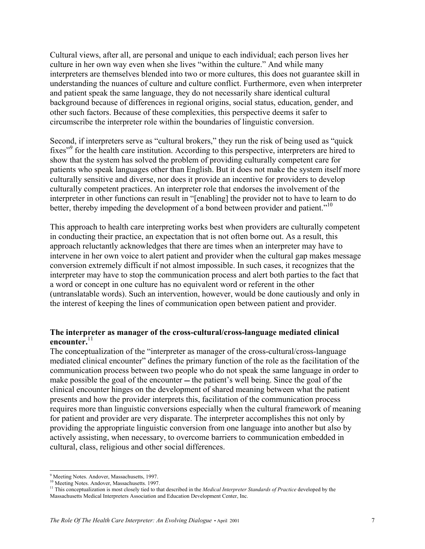Cultural views, after all, are personal and unique to each individual; each person lives her culture in her own way even when she lives "within the culture." And while many interpreters are themselves blended into two or more cultures, this does not guarantee skill in understanding the nuances of culture and culture conflict. Furthermore, even when interpreter and patient speak the same language, they do not necessarily share identical cultural background because of differences in regional origins, social status, education, gender, and other such factors. Because of these complexities, this perspective deems it safer to circumscribe the interpreter role within the boundaries of linguistic conversion.

Second, if interpreters serve as "cultural brokers," they run the risk of being used as "quick" fixes"<sup>9</sup> for the health care institution. According to this perspective, interpreters are hired to show that the system has solved the problem of providing culturally competent care for patients who speak languages other than English. But it does not make the system itself more culturally sensitive and diverse, nor does it provide an incentive for providers to develop culturally competent practices. An interpreter role that endorses the involvement of the interpreter in other functions can result in "[enabling] the provider not to have to learn to do better, thereby impeding the development of a bond between provider and patient."<sup>10</sup>

This approach to health care interpreting works best when providers are culturally competent in conducting their practice, an expectation that is not often borne out. As a result, this approach reluctantly acknowledges that there are times when an interpreter may have to intervene in her own voice to alert patient and provider when the cultural gap makes message conversion extremely difficult if not almost impossible. In such cases, it recognizes that the interpreter may have to stop the communication process and alert both parties to the fact that a word or concept in one culture has no equivalent word or referent in the other (untranslatable words). Such an intervention, however, would be done cautiously and only in the interest of keeping the lines of communication open between patient and provider.

#### **The interpreter as manager of the cross-cultural/cross-language mediated clinical**  encounter.<sup>11</sup>

The conceptualization of the "interpreter as manager of the cross-cultural/cross-language mediated clinical encounter" defines the primary function of the role as the facilitation of the communication process between two people who do not speak the same language in order to make possible the goal of the encounter – the patient's well being. Since the goal of the clinical encounter hinges on the development of shared meaning between what the patient presents and how the provider interprets this, facilitation of the communication process requires more than linguistic conversions especially when the cultural framework of meaning for patient and provider are very disparate. The interpreter accomplishes this not only by providing the appropriate linguistic conversion from one language into another but also by actively assisting, when necessary, to overcome barriers to communication embedded in cultural, class, religious and other social differences.

<sup>&</sup>lt;sup>9</sup> Meeting Notes. Andover, Massachusetts, 1997.

<sup>&</sup>lt;sup>10</sup> Meeting Notes. Andover, Massachusetts. 1997.

<sup>&</sup>lt;sup>11</sup> This conceptualization is most closely tied to that described in the *Medical Interpreter Standards of Practice* developed by the Massachusetts Medical Interpreters Association and Education Development Center, Inc.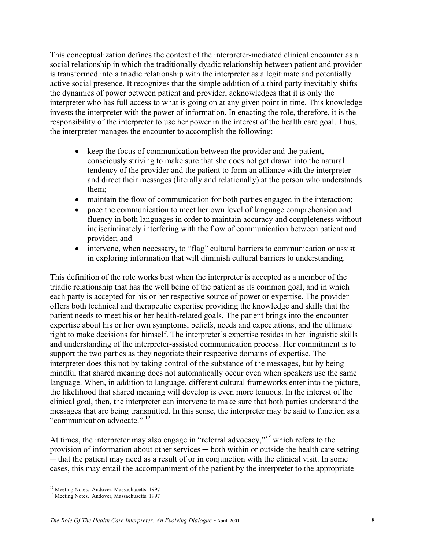This conceptualization defines the context of the interpreter-mediated clinical encounter as a social relationship in which the traditionally dyadic relationship between patient and provider is transformed into a triadic relationship with the interpreter as a legitimate and potentially active social presence. It recognizes that the simple addition of a third party inevitably shifts the dynamics of power between patient and provider, acknowledges that it is only the interpreter who has full access to what is going on at any given point in time. This knowledge invests the interpreter with the power of information. In enacting the role, therefore, it is the responsibility of the interpreter to use her power in the interest of the health care goal. Thus, the interpreter manages the encounter to accomplish the following:

- keep the focus of communication between the provider and the patient, consciously striving to make sure that she does not get drawn into the natural tendency of the provider and the patient to form an alliance with the interpreter and direct their messages (literally and relationally) at the person who understands them;
- maintain the flow of communication for both parties engaged in the interaction;
- pace the communication to meet her own level of language comprehension and fluency in both languages in order to maintain accuracy and completeness without indiscriminately interfering with the flow of communication between patient and provider; and
- intervene, when necessary, to "flag" cultural barriers to communication or assist in exploring information that will diminish cultural barriers to understanding.

This definition of the role works best when the interpreter is accepted as a member of the triadic relationship that has the well being of the patient as its common goal, and in which each party is accepted for his or her respective source of power or expertise. The provider offers both technical and therapeutic expertise providing the knowledge and skills that the patient needs to meet his or her health-related goals. The patient brings into the encounter expertise about his or her own symptoms, beliefs, needs and expectations, and the ultimate right to make decisions for himself. The interpreter's expertise resides in her linguistic skills and understanding of the interpreter-assisted communication process. Her commitment is to support the two parties as they negotiate their respective domains of expertise. The interpreter does this not by taking control of the substance of the messages, but by being mindful that shared meaning does not automatically occur even when speakers use the same language. When, in addition to language, different cultural frameworks enter into the picture, the likelihood that shared meaning will develop is even more tenuous. In the interest of the clinical goal, then, the interpreter can intervene to make sure that both parties understand the messages that are being transmitted. In this sense, the interpreter may be said to function as a "communication advocate." 12

At times, the interpreter may also engage in "referral advocacy,"*<sup>13</sup>* which refers to the provision of information about other services ─ both within or outside the health care setting ─ that the patient may need as a result of or in conjunction with the clinical visit. In some cases, this may entail the accompaniment of the patient by the interpreter to the appropriate

 $\overline{a}$ <sup>12</sup> Meeting Notes. Andover, Massachusetts. 1997

<sup>&</sup>lt;sup>13</sup> Meeting Notes. Andover, Massachusetts. 1997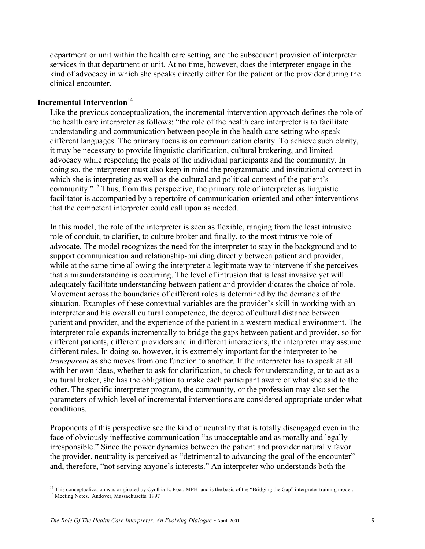department or unit within the health care setting, and the subsequent provision of interpreter services in that department or unit. At no time, however, does the interpreter engage in the kind of advocacy in which she speaks directly either for the patient or the provider during the clinical encounter.

#### **Incremental Intervention**<sup>14</sup>

Like the previous conceptualization, the incremental intervention approach defines the role of the health care interpreter as follows: "the role of the health care interpreter is to facilitate understanding and communication between people in the health care setting who speak different languages. The primary focus is on communication clarity. To achieve such clarity, it may be necessary to provide linguistic clarification, cultural brokering, and limited advocacy while respecting the goals of the individual participants and the community. In doing so, the interpreter must also keep in mind the programmatic and institutional context in which she is interpreting as well as the cultural and political context of the patient's community."15 Thus, from this perspective, the primary role of interpreter as linguistic facilitator is accompanied by a repertoire of communication-oriented and other interventions that the competent interpreter could call upon as needed.

In this model, the role of the interpreter is seen as flexible, ranging from the least intrusive role of conduit, to clarifier, to culture broker and finally, to the most intrusive role of advocate. The model recognizes the need for the interpreter to stay in the background and to support communication and relationship-building directly between patient and provider, while at the same time allowing the interpreter a legitimate way to intervene if she perceives that a misunderstanding is occurring. The level of intrusion that is least invasive yet will adequately facilitate understanding between patient and provider dictates the choice of role. Movement across the boundaries of different roles is determined by the demands of the situation. Examples of these contextual variables are the provider's skill in working with an interpreter and his overall cultural competence, the degree of cultural distance between patient and provider, and the experience of the patient in a western medical environment. The interpreter role expands incrementally to bridge the gaps between patient and provider, so for different patients, different providers and in different interactions, the interpreter may assume different roles. In doing so, however, it is extremely important for the interpreter to be *transparent* as she moves from one function to another. If the interpreter has to speak at all with her own ideas, whether to ask for clarification, to check for understanding, or to act as a cultural broker, she has the obligation to make each participant aware of what she said to the other. The specific interpreter program, the community, or the profession may also set the parameters of which level of incremental interventions are considered appropriate under what conditions.

Proponents of this perspective see the kind of neutrality that is totally disengaged even in the face of obviously ineffective communication "as unacceptable and as morally and legally irresponsible." Since the power dynamics between the patient and provider naturally favor the provider, neutrality is perceived as "detrimental to advancing the goal of the encounter" and, therefore, "not serving anyone's interests." An interpreter who understands both the

<sup>&</sup>lt;sup>14</sup> This conceptualization was originated by Cynthia E. Roat, MPH and is the basis of the "Bridging the Gap" interpreter training model. <sup>15</sup> Meeting Notes. Andover, Massachusetts. 1997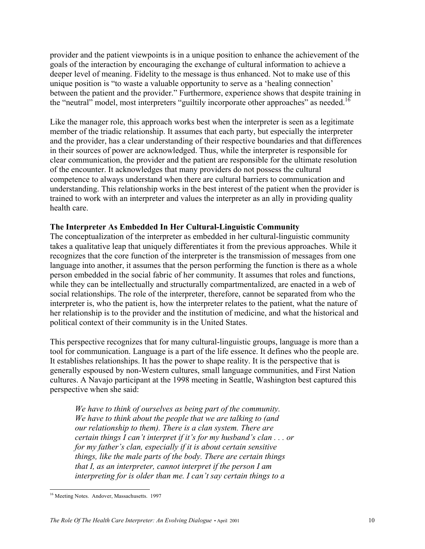provider and the patient viewpoints is in a unique position to enhance the achievement of the goals of the interaction by encouraging the exchange of cultural information to achieve a deeper level of meaning. Fidelity to the message is thus enhanced. Not to make use of this unique position is "to waste a valuable opportunity to serve as a 'healing connection' between the patient and the provider." Furthermore, experience shows that despite training in the "neutral" model, most interpreters "guiltily incorporate other approaches" as needed.<sup>16</sup>

Like the manager role, this approach works best when the interpreter is seen as a legitimate member of the triadic relationship. It assumes that each party, but especially the interpreter and the provider, has a clear understanding of their respective boundaries and that differences in their sources of power are acknowledged. Thus, while the interpreter is responsible for clear communication, the provider and the patient are responsible for the ultimate resolution of the encounter. It acknowledges that many providers do not possess the cultural competence to always understand when there are cultural barriers to communication and understanding. This relationship works in the best interest of the patient when the provider is trained to work with an interpreter and values the interpreter as an ally in providing quality health care.

#### **The Interpreter As Embedded In Her Cultural-Linguistic Community**

The conceptualization of the interpreter as embedded in her cultural-linguistic community takes a qualitative leap that uniquely differentiates it from the previous approaches. While it recognizes that the core function of the interpreter is the transmission of messages from one language into another, it assumes that the person performing the function is there as a whole person embedded in the social fabric of her community. It assumes that roles and functions, while they can be intellectually and structurally compartmentalized, are enacted in a web of social relationships. The role of the interpreter, therefore, cannot be separated from who the interpreter is, who the patient is, how the interpreter relates to the patient, what the nature of her relationship is to the provider and the institution of medicine, and what the historical and political context of their community is in the United States.

This perspective recognizes that for many cultural-linguistic groups, language is more than a tool for communication. Language is a part of the life essence. It defines who the people are. It establishes relationships. It has the power to shape reality. It is the perspective that is generally espoused by non-Western cultures, small language communities, and First Nation cultures. A Navajo participant at the 1998 meeting in Seattle, Washington best captured this perspective when she said:

*We have to think of ourselves as being part of the community. We have to think about the people that we are talking to (and our relationship to them). There is a clan system. There are certain things I can't interpret if it's for my husband's clan . . . or for my father's clan, especially if it is about certain sensitive things, like the male parts of the body. There are certain things that I, as an interpreter, cannot interpret if the person I am interpreting for is older than me. I can't say certain things to a* 

 $\overline{a}$ <sup>16</sup> Meeting Notes. Andover, Massachusetts. 1997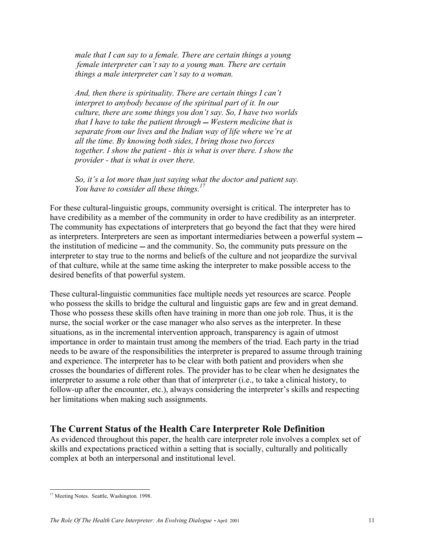*male that I can say to a female. There are certain things a young female interpreter can't say to a young man. There are certain things a male interpreter can't say to a woman.* 

*And, then there is spirituality. There are certain things I can't interpret to anybody because of the spiritual part of it. In our culture, there are some things you don't say. So, I have two worlds that I have to take the patient through Western medicine that is separate from our lives and the Indian way of life where we're at all the time. By knowing both sides, I bring those two forces together. I show the patient - this is what is over there. I show the provider - that is what is over there.* 

*So, it's a lot more than just saying what the doctor and patient say. You have to consider all these things.*<sup>17</sup>

For these cultural-linguistic groups, community oversight is critical. The interpreter has to have credibility as a member of the community in order to have credibility as an interpreter. The community has expectations of interpreters that go beyond the fact that they were hired as interpreters. Interpreters are seen as important intermediaries between a powerful system the institution of medicine  $-$  and the community. So, the community puts pressure on the interpreter to stay true to the norms and beliefs of the culture and not jeopardize the survival of that culture, while at the same time asking the interpreter to make possible access to the desired benefits of that powerful system.

These cultural-linguistic communities face multiple needs yet resources are scarce. People who possess the skills to bridge the cultural and linguistic gaps are few and in great demand. Those who possess these skills often have training in more than one job role. Thus, it is the nurse, the social worker or the case manager who also serves as the interpreter. In these situations, as in the incremental intervention approach, transparency is again of utmost importance in order to maintain trust among the members of the triad. Each party in the triad needs to be aware of the responsibilities the interpreter is prepared to assume through training and experience. The interpreter has to be clear with both patient and providers when she crosses the boundaries of different roles. The provider has to be clear when he designates the interpreter to assume a role other than that of interpreter (i.e., to take a clinical history, to follow-up after the encounter, etc.), always considering the interpreter's skills and respecting her limitations when making such assignments.

#### **The Current Status of the Health Care Interpreter Role Definition**

As evidenced throughout this paper, the health care interpreter role involves a complex set of skills and expectations practiced within a setting that is socially, culturally and politically complex at both an interpersonal and institutional level.

 $\overline{a}$ <sup>17</sup> Meeting Notes. Seattle, Washington. 1998.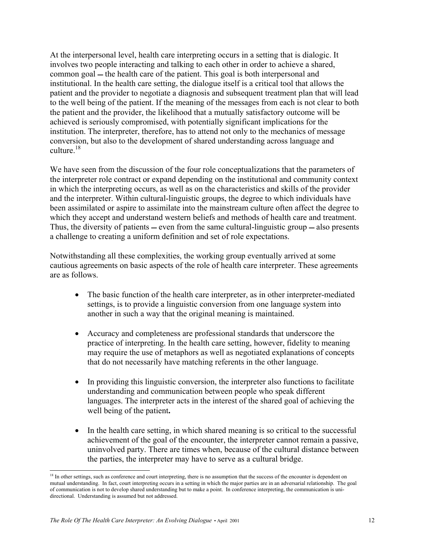At the interpersonal level, health care interpreting occurs in a setting that is dialogic. It involves two people interacting and talking to each other in order to achieve a shared, common goal – the health care of the patient. This goal is both interpersonal and institutional. In the health care setting, the dialogue itself is a critical tool that allows the patient and the provider to negotiate a diagnosis and subsequent treatment plan that will lead to the well being of the patient. If the meaning of the messages from each is not clear to both the patient and the provider, the likelihood that a mutually satisfactory outcome will be achieved is seriously compromised, with potentially significant implications for the institution. The interpreter, therefore, has to attend not only to the mechanics of message conversion, but also to the development of shared understanding across language and culture. $18$ 

We have seen from the discussion of the four role conceptualizations that the parameters of the interpreter role contract or expand depending on the institutional and community context in which the interpreting occurs, as well as on the characteristics and skills of the provider and the interpreter. Within cultural-linguistic groups, the degree to which individuals have been assimilated or aspire to assimilate into the mainstream culture often affect the degree to which they accept and understand western beliefs and methods of health care and treatment. Thus, the diversity of patients  $\sim$  even from the same cultural-linguistic group  $\sim$  also presents a challenge to creating a uniform definition and set of role expectations.

Notwithstanding all these complexities, the working group eventually arrived at some cautious agreements on basic aspects of the role of health care interpreter. These agreements are as follows.

- The basic function of the health care interpreter, as in other interpreter-mediated settings, is to provide a linguistic conversion from one language system into another in such a way that the original meaning is maintained.
- Accuracy and completeness are professional standards that underscore the practice of interpreting. In the health care setting, however, fidelity to meaning may require the use of metaphors as well as negotiated explanations of concepts that do not necessarily have matching referents in the other language.
- In providing this linguistic conversion, the interpreter also functions to facilitate understanding and communication between people who speak different languages. The interpreter acts in the interest of the shared goal of achieving the well being of the patient**.**
- In the health care setting, in which shared meaning is so critical to the successful achievement of the goal of the encounter, the interpreter cannot remain a passive, uninvolved party. There are times when, because of the cultural distance between the parties, the interpreter may have to serve as a cultural bridge.

<sup>&</sup>lt;sup>18</sup> In other settings, such as conference and court interpreting, there is no assumption that the success of the encounter is dependent on mutual understanding. In fact, court interpreting occurs in a setting in which the major parties are in an adversarial relationship. The goal of communication is not to develop shared understanding but to make a point. In conference interpreting, the communication is unidirectional. Understanding is assumed but not addressed.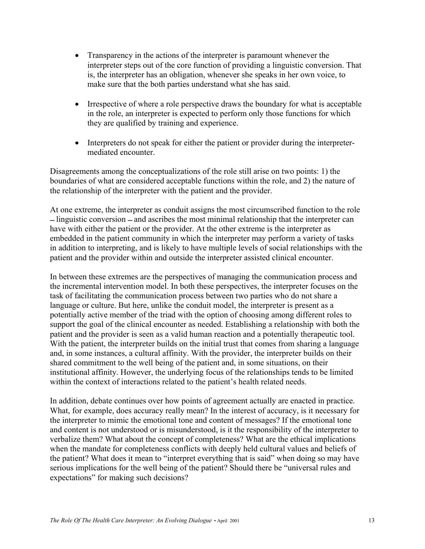- Transparency in the actions of the interpreter is paramount whenever the interpreter steps out of the core function of providing a linguistic conversion. That is, the interpreter has an obligation, whenever she speaks in her own voice, to make sure that the both parties understand what she has said.
- Irrespective of where a role perspective draws the boundary for what is acceptable in the role, an interpreter is expected to perform only those functions for which they are qualified by training and experience.
- Interpreters do not speak for either the patient or provider during the interpretermediated encounter.

Disagreements among the conceptualizations of the role still arise on two points: 1) the boundaries of what are considered acceptable functions within the role, and 2) the nature of the relationship of the interpreter with the patient and the provider.

At one extreme, the interpreter as conduit assigns the most circumscribed function to the role  $\mu$  - linguistic conversion  $\mu$  and ascribes the most minimal relationship that the interpreter can have with either the patient or the provider. At the other extreme is the interpreter as embedded in the patient community in which the interpreter may perform a variety of tasks in addition to interpreting, and is likely to have multiple levels of social relationships with the patient and the provider within and outside the interpreter assisted clinical encounter.

In between these extremes are the perspectives of managing the communication process and the incremental intervention model. In both these perspectives, the interpreter focuses on the task of facilitating the communication process between two parties who do not share a language or culture. But here, unlike the conduit model, the interpreter is present as a potentially active member of the triad with the option of choosing among different roles to support the goal of the clinical encounter as needed. Establishing a relationship with both the patient and the provider is seen as a valid human reaction and a potentially therapeutic tool. With the patient, the interpreter builds on the initial trust that comes from sharing a language and, in some instances, a cultural affinity. With the provider, the interpreter builds on their shared commitment to the well being of the patient and, in some situations, on their institutional affinity. However, the underlying focus of the relationships tends to be limited within the context of interactions related to the patient's health related needs.

In addition, debate continues over how points of agreement actually are enacted in practice. What, for example, does accuracy really mean? In the interest of accuracy, is it necessary for the interpreter to mimic the emotional tone and content of messages? If the emotional tone and content is not understood or is misunderstood, is it the responsibility of the interpreter to verbalize them? What about the concept of completeness? What are the ethical implications when the mandate for completeness conflicts with deeply held cultural values and beliefs of the patient? What does it mean to "interpret everything that is said" when doing so may have serious implications for the well being of the patient? Should there be "universal rules and expectations" for making such decisions?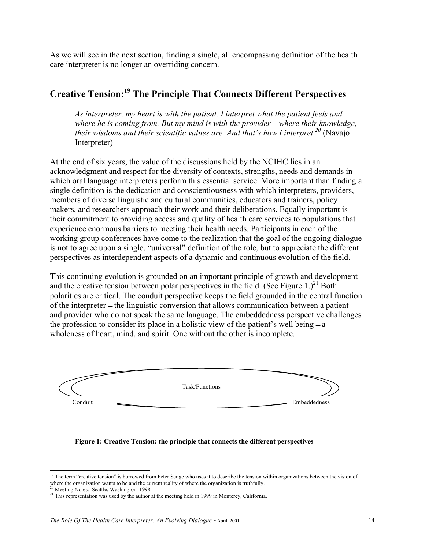As we will see in the next section, finding a single, all encompassing definition of the health care interpreter is no longer an overriding concern.

# **Creative Tension:19 The Principle That Connects Different Perspectives**

*As interpreter, my heart is with the patient. I interpret what the patient feels and where he is coming from. But my mind is with the provider – where their knowledge, their wisdoms and their scientific values are. And that's how I interpret.*<sup>20</sup> (Navajo Interpreter)

At the end of six years, the value of the discussions held by the NCIHC lies in an acknowledgment and respect for the diversity of contexts, strengths, needs and demands in which oral language interpreters perform this essential service. More important than finding a single definition is the dedication and conscientiousness with which interpreters, providers, members of diverse linguistic and cultural communities, educators and trainers, policy makers, and researchers approach their work and their deliberations. Equally important is their commitment to providing access and quality of health care services to populations that experience enormous barriers to meeting their health needs. Participants in each of the working group conferences have come to the realization that the goal of the ongoing dialogue is not to agree upon a single, "universal" definition of the role, but to appreciate the different perspectives as interdependent aspects of a dynamic and continuous evolution of the field.

This continuing evolution is grounded on an important principle of growth and development and the creative tension between polar perspectives in the field. (See Figure 1.)<sup>21</sup> Both polarities are critical. The conduit perspective keeps the field grounded in the central function of the interpreter – the linguistic conversion that allows communication between a patient and provider who do not speak the same language. The embeddedness perspective challenges the profession to consider its place in a holistic view of the patient's well being  $-a$ wholeness of heart, mind, and spirit. One without the other is incomplete.

Task/Functions Conduit  $\qquad \qquad \qquad$  Embeddedness

#### **Figure 1: Creative Tension: the principle that connects the different perspectives**

<sup>&</sup>lt;sup>19</sup> The term "creative tension" is borrowed from Peter Senge who uses it to describe the tension within organizations between the vision of where the organization wants to be and the current reality of where the organization is truthfully. <sup>20</sup> Meeting Notes. Seattle, Washington. 1998.

<sup>&</sup>lt;sup>21</sup> This representation was used by the author at the meeting held in 1999 in Monterey, California.